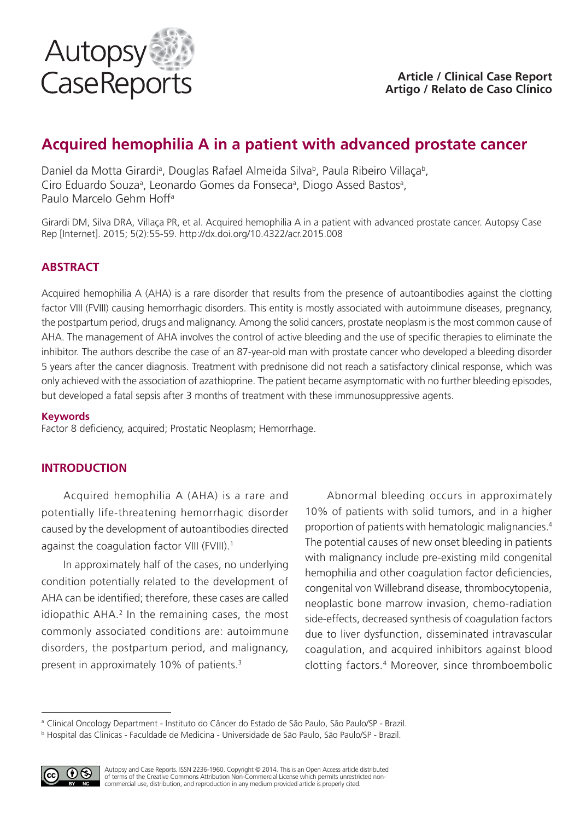

# **Acquired hemophilia A in a patient with advanced prostate cancer**

Daniel da Motta Girardi<sup>a</sup>, Douglas Rafael Almeida Silva<sup>b</sup>, Paula Ribeiro Villaça<sup>b</sup>, Ciro Eduardo Souza<sup>a</sup>, Leonardo Gomes da Fonseca<sup>a</sup>, Diogo Assed Bastos<sup>a</sup>, Paulo Marcelo Gehm Hoffa

Girardi DM, Silva DRA, Villaça PR, et al. Acquired hemophilia A in a patient with advanced prostate cancer. Autopsy Case Rep [Internet]. 2015; 5(2):55-59. http://dx.doi.org/10.4322/acr.2015.008

# **ABSTRACT**

Acquired hemophilia A (AHA) is a rare disorder that results from the presence of autoantibodies against the clotting factor VIII (FVIII) causing hemorrhagic disorders. This entity is mostly associated with autoimmune diseases, pregnancy, the postpartum period, drugs and malignancy. Among the solid cancers, prostate neoplasm is the most common cause of AHA. The management of AHA involves the control of active bleeding and the use of specific therapies to eliminate the inhibitor. The authors describe the case of an 87-year-old man with prostate cancer who developed a bleeding disorder 5 years after the cancer diagnosis. Treatment with prednisone did not reach a satisfactory clinical response, which was only achieved with the association of azathioprine. The patient became asymptomatic with no further bleeding episodes, but developed a fatal sepsis after 3 months of treatment with these immunosuppressive agents.

### **Keywords**

Factor 8 deficiency, acquired; Prostatic Neoplasm; Hemorrhage.

## **INTRODUCTION**

Acquired hemophilia A (AHA) is a rare and potentially life-threatening hemorrhagic disorder caused by the development of autoantibodies directed against the coagulation factor VIII (FVIII).<sup>1</sup>

In approximately half of the cases, no underlying condition potentially related to the development of AHA can be identified; therefore, these cases are called idiopathic AHA.<sup>2</sup> In the remaining cases, the most commonly associated conditions are: autoimmune disorders, the postpartum period, and malignancy, present in approximately 10% of patients.3

Abnormal bleeding occurs in approximately 10% of patients with solid tumors, and in a higher proportion of patients with hematologic malignancies.4 The potential causes of new onset bleeding in patients with malignancy include pre-existing mild congenital hemophilia and other coagulation factor deficiencies, congenital von Willebrand disease, thrombocytopenia, neoplastic bone marrow invasion, chemo-radiation side-effects, decreased synthesis of coagulation factors due to liver dysfunction, disseminated intravascular coagulation, and acquired inhibitors against blood clotting factors.4 Moreover, since thromboembolic

<sup>b</sup> Hospital das Clinicas - Faculdade de Medicina - Universidade de São Paulo, São Paulo/SP - Brazil.



Autopsy and Case Reports. ISSN 2236-1960. Copyright © 2014. This is an Open Access article distributed of terms of the Creative Commons Attribution Non-Commercial License which permits unrestricted noncommercial use, distribution, and reproduction in any medium provided article is properly cited.

<sup>&</sup>lt;sup>a</sup> Clinical Oncology Department - Instituto do Câncer do Estado de São Paulo, São Paulo/SP - Brazil.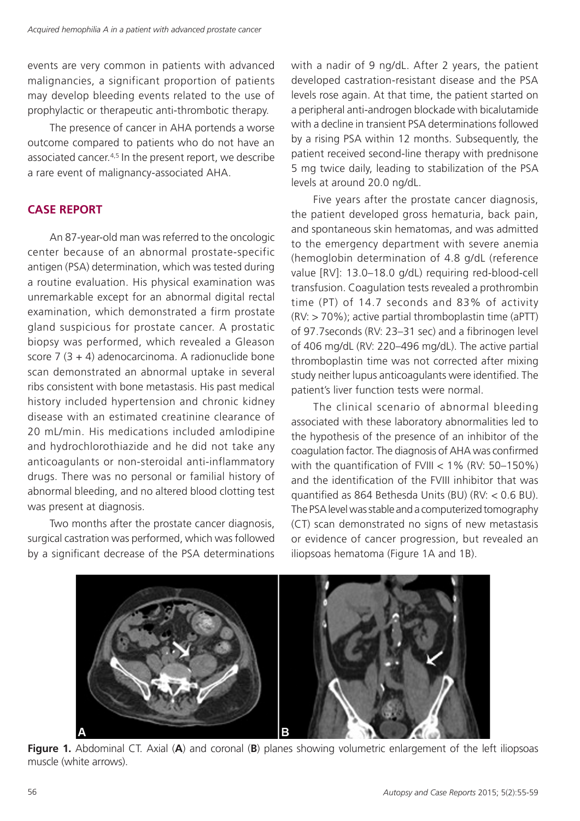events are very common in patients with advanced malignancies, a significant proportion of patients may develop bleeding events related to the use of prophylactic or therapeutic anti-thrombotic therapy.

The presence of cancer in AHA portends a worse outcome compared to patients who do not have an associated cancer.4,5 In the present report, we describe a rare event of malignancy-associated AHA.

## **CASE REPORT**

An 87-year-old man was referred to the oncologic center because of an abnormal prostate-specific antigen (PSA) determination, which was tested during a routine evaluation. His physical examination was unremarkable except for an abnormal digital rectal examination, which demonstrated a firm prostate gland suspicious for prostate cancer. A prostatic biopsy was performed, which revealed a Gleason score 7 (3 + 4) adenocarcinoma. A radionuclide bone scan demonstrated an abnormal uptake in several ribs consistent with bone metastasis. His past medical history included hypertension and chronic kidney disease with an estimated creatinine clearance of 20 mL/min. His medications included amlodipine and hydrochlorothiazide and he did not take any anticoagulants or non-steroidal anti-inflammatory drugs. There was no personal or familial history of abnormal bleeding, and no altered blood clotting test was present at diagnosis.

Two months after the prostate cancer diagnosis, surgical castration was performed, which was followed by a significant decrease of the PSA determinations with a nadir of 9 ng/dL. After 2 years, the patient developed castration-resistant disease and the PSA levels rose again. At that time, the patient started on a peripheral anti-androgen blockade with bicalutamide with a decline in transient PSA determinations followed by a rising PSA within 12 months. Subsequently, the patient received second-line therapy with prednisone 5 mg twice daily, leading to stabilization of the PSA levels at around 20.0 ng/dL.

Five years after the prostate cancer diagnosis, the patient developed gross hematuria, back pain, and spontaneous skin hematomas, and was admitted to the emergency department with severe anemia (hemoglobin determination of 4.8 g/dL (reference value [RV]: 13.0–18.0 g/dL) requiring red-blood-cell transfusion. Coagulation tests revealed a prothrombin time (PT) of 14.7 seconds and 83% of activity (RV: > 70%); active partial thromboplastin time (aPTT) of 97.7seconds (RV: 23–31 sec) and a fibrinogen level of 406 mg/dL (RV: 220–496 mg/dL). The active partial thromboplastin time was not corrected after mixing study neither lupus anticoagulants were identified. The patient's liver function tests were normal.

The clinical scenario of abnormal bleeding associated with these laboratory abnormalities led to the hypothesis of the presence of an inhibitor of the coagulation factor. The diagnosis of AHA was confirmed with the quantification of FVIII < 1% (RV: 50–150%) and the identification of the FVIII inhibitor that was quantified as 864 Bethesda Units (BU) (RV: < 0.6 BU). The PSA level was stable and a computerized tomography (CT) scan demonstrated no signs of new metastasis or evidence of cancer progression, but revealed an iliopsoas hematoma (Figure 1A and 1B).



**Figure 1.** Abdominal CT. Axial (**A**) and coronal (**B**) planes showing volumetric enlargement of the left iliopsoas muscle (white arrows).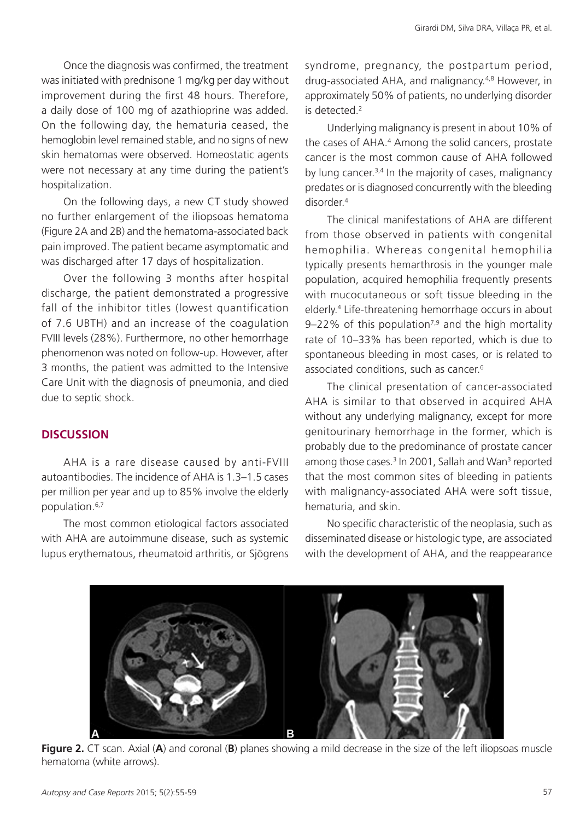Once the diagnosis was confirmed, the treatment was initiated with prednisone 1 mg/kg per day without improvement during the first 48 hours. Therefore, a daily dose of 100 mg of azathioprine was added. On the following day, the hematuria ceased, the hemoglobin level remained stable, and no signs of new skin hematomas were observed. Homeostatic agents were not necessary at any time during the patient's hospitalization.

On the following days, a new CT study showed no further enlargement of the iliopsoas hematoma (Figure 2A and 2B) and the hematoma-associated back pain improved. The patient became asymptomatic and was discharged after 17 days of hospitalization.

Over the following 3 months after hospital discharge, the patient demonstrated a progressive fall of the inhibitor titles (lowest quantification of 7.6 UBTH) and an increase of the coagulation FVIII levels (28%). Furthermore, no other hemorrhage phenomenon was noted on follow-up. However, after 3 months, the patient was admitted to the Intensive Care Unit with the diagnosis of pneumonia, and died due to septic shock.

## **DISCUSSION**

AHA is a rare disease caused by anti-FVIII autoantibodies. The incidence of AHA is 1.3–1.5 cases per million per year and up to 85% involve the elderly population.6,7

The most common etiological factors associated with AHA are autoimmune disease, such as systemic lupus erythematous, rheumatoid arthritis, or Sjögrens syndrome, pregnancy, the postpartum period, drug-associated AHA, and malignancy.4,8 However, in approximately 50% of patients, no underlying disorder is detected.2

Underlying malignancy is present in about 10% of the cases of AHA.<sup>4</sup> Among the solid cancers, prostate cancer is the most common cause of AHA followed by lung cancer.<sup>3,4</sup> In the majority of cases, malignancy predates or is diagnosed concurrently with the bleeding disorder<sup>4</sup>

The clinical manifestations of AHA are different from those observed in patients with congenital hemophilia. Whereas congenital hemophilia typically presents hemarthrosis in the younger male population, acquired hemophilia frequently presents with mucocutaneous or soft tissue bleeding in the elderly.4 Life-threatening hemorrhage occurs in about 9–22% of this population<sup>7,9</sup> and the high mortality rate of 10–33% has been reported, which is due to spontaneous bleeding in most cases, or is related to associated conditions, such as cancer.<sup>6</sup>

The clinical presentation of cancer-associated AHA is similar to that observed in acquired AHA without any underlying malignancy, except for more genitourinary hemorrhage in the former, which is probably due to the predominance of prostate cancer among those cases.<sup>3</sup> In 2001, Sallah and Wan<sup>3</sup> reported that the most common sites of bleeding in patients with malignancy-associated AHA were soft tissue, hematuria, and skin.

No specific characteristic of the neoplasia, such as disseminated disease or histologic type, are associated with the development of AHA, and the reappearance



**Figure 2.** CT scan. Axial (**A**) and coronal (**B**) planes showing a mild decrease in the size of the left iliopsoas muscle hematoma (white arrows).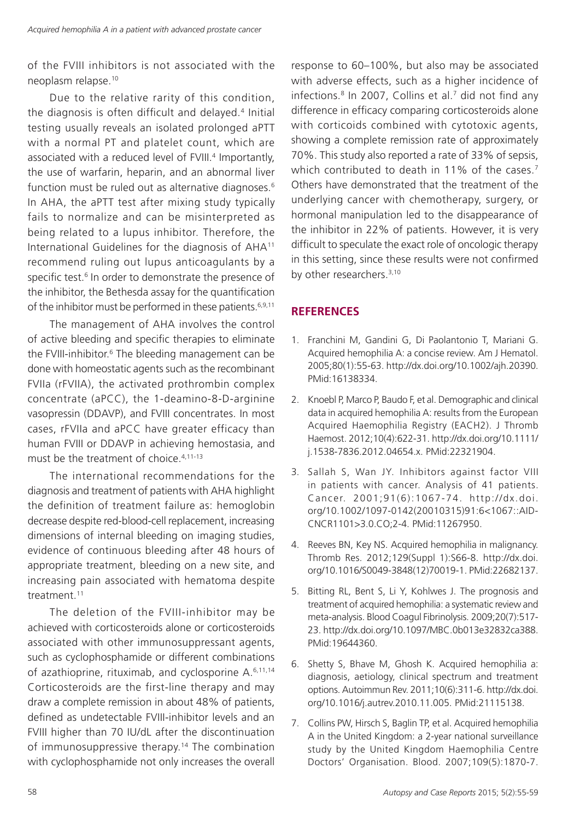of the FVIII inhibitors is not associated with the neoplasm relapse.10

Due to the relative rarity of this condition, the diagnosis is often difficult and delayed.4 Initial testing usually reveals an isolated prolonged aPTT with a normal PT and platelet count, which are associated with a reduced level of FVIII.<sup>4</sup> Importantly, the use of warfarin, heparin, and an abnormal liver function must be ruled out as alternative diagnoses.<sup>6</sup> In AHA, the aPTT test after mixing study typically fails to normalize and can be misinterpreted as being related to a lupus inhibitor. Therefore, the International Guidelines for the diagnosis of AHA11 recommend ruling out lupus anticoagulants by a specific test.<sup>6</sup> In order to demonstrate the presence of the inhibitor, the Bethesda assay for the quantification of the inhibitor must be performed in these patients.<sup>6,9,11</sup>

The management of AHA involves the control of active bleeding and specific therapies to eliminate the FVIII-inhibitor.<sup>6</sup> The bleeding management can be done with homeostatic agents such as the recombinant FVIIa (rFVIIA), the activated prothrombin complex concentrate (aPCC), the 1-deamino-8-D-arginine vasopressin (DDAVP), and FVIII concentrates. In most cases, rFVIIa and aPCC have greater efficacy than human FVIII or DDAVP in achieving hemostasia, and must be the treatment of choice.4,11-13

The international recommendations for the diagnosis and treatment of patients with AHA highlight the definition of treatment failure as: hemoglobin decrease despite red-blood-cell replacement, increasing dimensions of internal bleeding on imaging studies, evidence of continuous bleeding after 48 hours of appropriate treatment, bleeding on a new site, and increasing pain associated with hematoma despite treatment.11

The deletion of the FVIII-inhibitor may be achieved with corticosteroids alone or corticosteroids associated with other immunosuppressant agents, such as cyclophosphamide or different combinations of azathioprine, rituximab, and cyclosporine A.6,11,14 Corticosteroids are the first-line therapy and may draw a complete remission in about 48% of patients, defined as undetectable FVIII-inhibitor levels and an FVIII higher than 70 IU/dL after the discontinuation of immunosuppressive therapy.<sup>14</sup> The combination with cyclophosphamide not only increases the overall

response to 60–100%, but also may be associated with adverse effects, such as a higher incidence of infections.8 In 2007, Collins et al.7 did not find any difference in efficacy comparing corticosteroids alone with corticoids combined with cytotoxic agents, showing a complete remission rate of approximately 70%. This study also reported a rate of 33% of sepsis, which contributed to death in 11% of the cases.<sup>7</sup> Others have demonstrated that the treatment of the underlying cancer with chemotherapy, surgery, or hormonal manipulation led to the disappearance of the inhibitor in 22% of patients. However, it is very difficult to speculate the exact role of oncologic therapy in this setting, since these results were not confirmed by other researchers.<sup>3,10</sup>

# **REFERENCES**

- 1. Franchini M, Gandini G, Di Paolantonio T, Mariani G. Acquired hemophilia A: a concise review. Am J Hematol. 2005;80(1):55-63. [http://dx.doi.org/10.1002/ajh.20390.](http://dx.doi.org/10.1002/ajh.20390) [PMid:16138334.](http://www.ncbi.nlm.nih.gov/entrez/query.fcgi?cmd=Retrieve&db=PubMed&list_uids=16138334&dopt=Abstract)
- 2. Knoebl P, Marco P, Baudo F, et al. Demographic and clinical data in acquired hemophilia A: results from the European Acquired Haemophilia Registry (EACH2). J Thromb Haemost. 2012;10(4):622-31. [http://dx.doi.org/10.1111/](http://dx.doi.org/10.1111/j.1538-7836.2012.04654.x) [j.1538-7836.2012.04654.x.](http://dx.doi.org/10.1111/j.1538-7836.2012.04654.x) [PMid:22321904.](http://www.ncbi.nlm.nih.gov/entrez/query.fcgi?cmd=Retrieve&db=PubMed&list_uids=22321904&dopt=Abstract)
- 3. Sallah S, Wan JY. Inhibitors against factor VIII in patients with cancer. Analysis of 41 patients. Cancer. 2001;91(6):1067-74. [http://dx.doi.](http://dx.doi.org/10.1002/1097-0142(20010315)91:6%3c1067::AID-CNCR1101%3e3.0.CO;2-4) [org/10.1002/1097-0142\(20010315\)91:6<1067::AID-](http://dx.doi.org/10.1002/1097-0142(20010315)91:6%3c1067::AID-CNCR1101%3e3.0.CO;2-4)[CNCR1101>3.0.CO;2-4](http://dx.doi.org/10.1002/1097-0142(20010315)91:6%3c1067::AID-CNCR1101%3e3.0.CO;2-4). [PMid:11267950.](http://www.ncbi.nlm.nih.gov/entrez/query.fcgi?cmd=Retrieve&db=PubMed&list_uids=11267950&dopt=Abstract)
- 4. Reeves BN, Key NS. Acquired hemophilia in malignancy. Thromb Res. 2012;129(Suppl 1):S66-8. [http://dx.doi.](http://dx.doi.org/10.1016/S0049-3848(12)70019-1) [org/10.1016/S0049-3848\(12\)70019-1.](http://dx.doi.org/10.1016/S0049-3848(12)70019-1) [PMid:22682137.](http://www.ncbi.nlm.nih.gov/entrez/query.fcgi?cmd=Retrieve&db=PubMed&list_uids=22682137&dopt=Abstract)
- 5. Bitting RL, Bent S, Li Y, Kohlwes J. The prognosis and treatment of acquired hemophilia: a systematic review and meta-analysis. Blood Coagul Fibrinolysis. 2009;20(7):517- 23. [http://dx.doi.org/10.1097/MBC.0b013e32832ca388.](http://dx.doi.org/10.1097/MBC.0b013e32832ca388) [PMid:19644360.](http://www.ncbi.nlm.nih.gov/entrez/query.fcgi?cmd=Retrieve&db=PubMed&list_uids=19644360&dopt=Abstract)
- 6. Shetty S, Bhave M, Ghosh K. Acquired hemophilia a: diagnosis, aetiology, clinical spectrum and treatment options. Autoimmun Rev. 2011;10(6):311-6. [http://dx.doi.](http://dx.doi.org/10.1016/j.autrev.2010.11.005) [org/10.1016/j.autrev.2010.11.005](http://dx.doi.org/10.1016/j.autrev.2010.11.005)[. PMid:21115138.](http://www.ncbi.nlm.nih.gov/entrez/query.fcgi?cmd=Retrieve&db=PubMed&list_uids=21115138&dopt=Abstract)
- 7. Collins PW, Hirsch S, Baglin TP, et al. Acquired hemophilia A in the United Kingdom: a 2-year national surveillance study by the United Kingdom Haemophilia Centre Doctors' Organisation. Blood. 2007;109(5):1870-7.